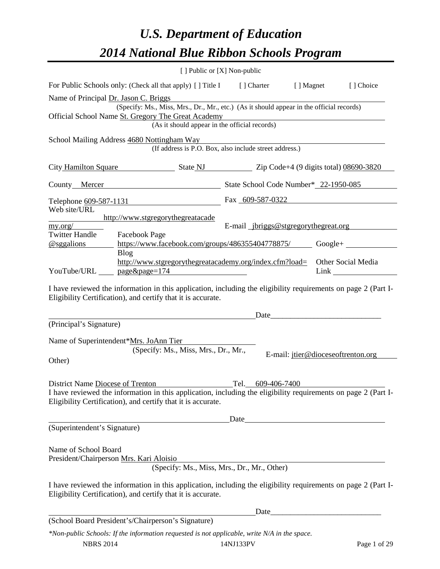# *U.S. Department of Education 2014 National Blue Ribbon Schools Program*

| $\lceil$ Public or $[X]$ Non-public                                                                                                                                            |                                                                                                                                                                                                                                                      |  |  |  |  |  |
|--------------------------------------------------------------------------------------------------------------------------------------------------------------------------------|------------------------------------------------------------------------------------------------------------------------------------------------------------------------------------------------------------------------------------------------------|--|--|--|--|--|
| For Public Schools only: (Check all that apply) [] Title I                                                                                                                     | [ ] Charter<br>[ ] Magnet<br>[] Choice                                                                                                                                                                                                               |  |  |  |  |  |
| Name of Principal Dr. Jason C. Briggs                                                                                                                                          |                                                                                                                                                                                                                                                      |  |  |  |  |  |
|                                                                                                                                                                                | (Specify: Ms., Miss, Mrs., Dr., Mr., etc.) (As it should appear in the official records)                                                                                                                                                             |  |  |  |  |  |
| Official School Name St. Gregory The Great Academy                                                                                                                             |                                                                                                                                                                                                                                                      |  |  |  |  |  |
| (As it should appear in the official records)                                                                                                                                  |                                                                                                                                                                                                                                                      |  |  |  |  |  |
| School Mailing Address 4680 Nottingham Way                                                                                                                                     | (If address is P.O. Box, also include street address.)                                                                                                                                                                                               |  |  |  |  |  |
| City Hamilton Square State NJ Zip Code+4 (9 digits total) 08690-3820                                                                                                           |                                                                                                                                                                                                                                                      |  |  |  |  |  |
| County Mercer State School Code Number* 22-1950-085                                                                                                                            |                                                                                                                                                                                                                                                      |  |  |  |  |  |
| Telephone <u>609-587-1131</u>                                                                                                                                                  | Fax 609-587-0322                                                                                                                                                                                                                                     |  |  |  |  |  |
| Web site/URL                                                                                                                                                                   |                                                                                                                                                                                                                                                      |  |  |  |  |  |
| http://www.stgregorythegreatacade<br>my.org/                                                                                                                                   | E-mail jbriggs@stgregorythegreat.org                                                                                                                                                                                                                 |  |  |  |  |  |
| <b>Twitter Handle</b><br>Facebook Page                                                                                                                                         |                                                                                                                                                                                                                                                      |  |  |  |  |  |
| @sggalions                                                                                                                                                                     | https://www.facebook.com/groups/486355404778875/ Google+                                                                                                                                                                                             |  |  |  |  |  |
| <b>Blog</b>                                                                                                                                                                    |                                                                                                                                                                                                                                                      |  |  |  |  |  |
| http://www.stgregorythegreatacademy.org/index.cfm?load=<br>YouTube/URL _____ page&page=174                                                                                     | Other Social Media<br>Link and the contract of the contract of the contract of the contract of the contract of the contract of the contract of the contract of the contract of the contract of the contract of the contract of the contract of the c |  |  |  |  |  |
|                                                                                                                                                                                |                                                                                                                                                                                                                                                      |  |  |  |  |  |
| I have reviewed the information in this application, including the eligibility requirements on page 2 (Part I-<br>Eligibility Certification), and certify that it is accurate. |                                                                                                                                                                                                                                                      |  |  |  |  |  |
|                                                                                                                                                                                | Date                                                                                                                                                                                                                                                 |  |  |  |  |  |
| (Principal's Signature)                                                                                                                                                        |                                                                                                                                                                                                                                                      |  |  |  |  |  |
|                                                                                                                                                                                |                                                                                                                                                                                                                                                      |  |  |  |  |  |
| Name of Superintendent*Mrs. JoAnn Tier                                                                                                                                         |                                                                                                                                                                                                                                                      |  |  |  |  |  |
| (Specify: Ms., Miss, Mrs., Dr., Mr.,                                                                                                                                           | E-mail: jtier@dioceseoftrenton.org                                                                                                                                                                                                                   |  |  |  |  |  |
| Other)                                                                                                                                                                         |                                                                                                                                                                                                                                                      |  |  |  |  |  |
|                                                                                                                                                                                |                                                                                                                                                                                                                                                      |  |  |  |  |  |
| District Name Diocese of Trenton                                                                                                                                               | Tel.<br><u>609-406-7400</u>                                                                                                                                                                                                                          |  |  |  |  |  |
| I have reviewed the information in this application, including the eligibility requirements on page 2 (Part I-                                                                 |                                                                                                                                                                                                                                                      |  |  |  |  |  |
| Eligibility Certification), and certify that it is accurate.                                                                                                                   |                                                                                                                                                                                                                                                      |  |  |  |  |  |
|                                                                                                                                                                                | Date and the same state of the state of the state of the state of the state of the state of the state of the state of the state of the state of the state of the state of the state of the state of the state of the state of                        |  |  |  |  |  |
| (Superintendent's Signature)                                                                                                                                                   |                                                                                                                                                                                                                                                      |  |  |  |  |  |
|                                                                                                                                                                                |                                                                                                                                                                                                                                                      |  |  |  |  |  |
|                                                                                                                                                                                |                                                                                                                                                                                                                                                      |  |  |  |  |  |
| Name of School Board<br>President/Chairperson Mrs. Kari Aloisio                                                                                                                |                                                                                                                                                                                                                                                      |  |  |  |  |  |
| (Specify: Ms., Miss, Mrs., Dr., Mr., Other)                                                                                                                                    |                                                                                                                                                                                                                                                      |  |  |  |  |  |
|                                                                                                                                                                                |                                                                                                                                                                                                                                                      |  |  |  |  |  |
| I have reviewed the information in this application, including the eligibility requirements on page 2 (Part I-<br>Eligibility Certification), and certify that it is accurate. |                                                                                                                                                                                                                                                      |  |  |  |  |  |
|                                                                                                                                                                                | Date_                                                                                                                                                                                                                                                |  |  |  |  |  |
| (School Board President's/Chairperson's Signature)                                                                                                                             |                                                                                                                                                                                                                                                      |  |  |  |  |  |
| *Non-public Schools: If the information requested is not applicable, write N/A in the space.                                                                                   |                                                                                                                                                                                                                                                      |  |  |  |  |  |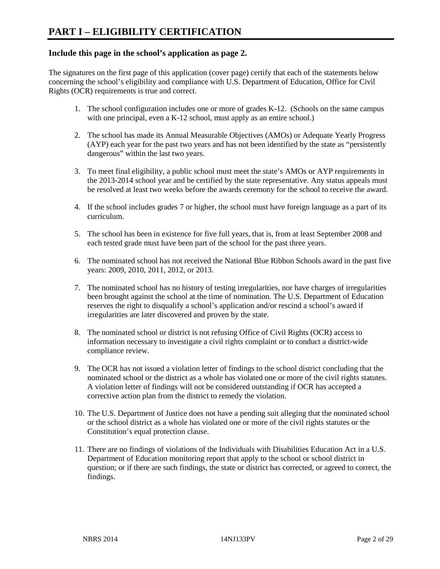# **Include this page in the school's application as page 2.**

The signatures on the first page of this application (cover page) certify that each of the statements below concerning the school's eligibility and compliance with U.S. Department of Education, Office for Civil Rights (OCR) requirements is true and correct.

- 1. The school configuration includes one or more of grades K-12. (Schools on the same campus with one principal, even a K-12 school, must apply as an entire school.)
- 2. The school has made its Annual Measurable Objectives (AMOs) or Adequate Yearly Progress (AYP) each year for the past two years and has not been identified by the state as "persistently dangerous" within the last two years.
- 3. To meet final eligibility, a public school must meet the state's AMOs or AYP requirements in the 2013-2014 school year and be certified by the state representative. Any status appeals must be resolved at least two weeks before the awards ceremony for the school to receive the award.
- 4. If the school includes grades 7 or higher, the school must have foreign language as a part of its curriculum.
- 5. The school has been in existence for five full years, that is, from at least September 2008 and each tested grade must have been part of the school for the past three years.
- 6. The nominated school has not received the National Blue Ribbon Schools award in the past five years: 2009, 2010, 2011, 2012, or 2013.
- 7. The nominated school has no history of testing irregularities, nor have charges of irregularities been brought against the school at the time of nomination. The U.S. Department of Education reserves the right to disqualify a school's application and/or rescind a school's award if irregularities are later discovered and proven by the state.
- 8. The nominated school or district is not refusing Office of Civil Rights (OCR) access to information necessary to investigate a civil rights complaint or to conduct a district-wide compliance review.
- 9. The OCR has not issued a violation letter of findings to the school district concluding that the nominated school or the district as a whole has violated one or more of the civil rights statutes. A violation letter of findings will not be considered outstanding if OCR has accepted a corrective action plan from the district to remedy the violation.
- 10. The U.S. Department of Justice does not have a pending suit alleging that the nominated school or the school district as a whole has violated one or more of the civil rights statutes or the Constitution's equal protection clause.
- 11. There are no findings of violations of the Individuals with Disabilities Education Act in a U.S. Department of Education monitoring report that apply to the school or school district in question; or if there are such findings, the state or district has corrected, or agreed to correct, the findings.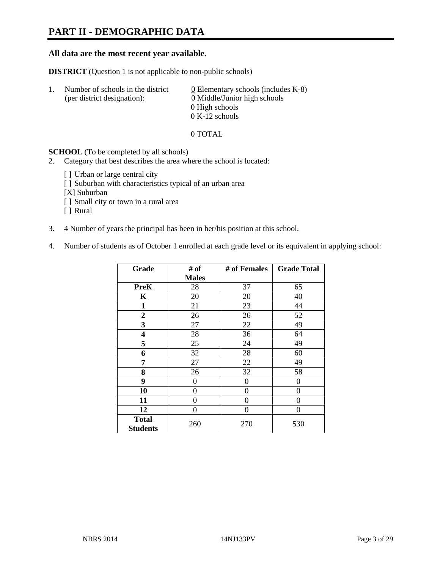# **PART II - DEMOGRAPHIC DATA**

### **All data are the most recent year available.**

**DISTRICT** (Question 1 is not applicable to non-public schools)

| -1. | Number of schools in the district<br>(per district designation): | 0 Elementary schools (includes $K-8$ )<br>0 Middle/Junior high schools |  |
|-----|------------------------------------------------------------------|------------------------------------------------------------------------|--|
|     |                                                                  | 0 High schools                                                         |  |
|     |                                                                  | $0 K-12$ schools                                                       |  |

#### 0 TOTAL

#### **SCHOOL** (To be completed by all schools)

- 2. Category that best describes the area where the school is located:
	- [] Urban or large central city
	- [] Suburban with characteristics typical of an urban area
	- [X] Suburban
	- [ ] Small city or town in a rural area
	- [ ] Rural
- 3.  $\frac{4}{3}$  Number of years the principal has been in her/his position at this school.
- 4. Number of students as of October 1 enrolled at each grade level or its equivalent in applying school:

| Grade           | # of         | # of Females | <b>Grade Total</b> |  |
|-----------------|--------------|--------------|--------------------|--|
|                 | <b>Males</b> |              |                    |  |
| <b>PreK</b>     | 28           | 37           | 65                 |  |
| K               | 20           | 20           | 40                 |  |
| $\mathbf{1}$    | 21           | 23           | 44                 |  |
| $\overline{2}$  | 26           | 26           | 52                 |  |
| 3               | 27           | 22           | 49                 |  |
| 4               | 28           | 36           | 64                 |  |
| 5               | 25           | 24           | 49                 |  |
| 6               | 32           | 28           | 60                 |  |
| 7               | 27           | 22           | 49                 |  |
| 8               | 26           | 32           | 58                 |  |
| 9               | 0            | $\theta$     | 0                  |  |
| 10              | $\theta$     | 0            | 0                  |  |
| 11              | 0            | 0            | 0                  |  |
| 12              | 0            | $\theta$     | 0                  |  |
| <b>Total</b>    | 260          | 270          | 530                |  |
| <b>Students</b> |              |              |                    |  |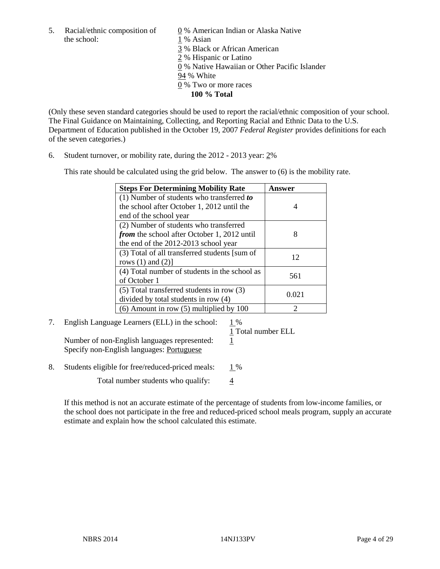5. Racial/ethnic composition of  $\qquad \qquad \underline{0}$  % American Indian or Alaska Native the school: 1 % Asian

 3 % Black or African American 2 % Hispanic or Latino 0 % Native Hawaiian or Other Pacific Islander 94 % White 0 % Two or more races **100 % Total** 

(Only these seven standard categories should be used to report the racial/ethnic composition of your school. The Final Guidance on Maintaining, Collecting, and Reporting Racial and Ethnic Data to the U.S. Department of Education published in the October 19, 2007 *Federal Register* provides definitions for each of the seven categories.)

6. Student turnover, or mobility rate, during the 2012 - 2013 year: 2%

This rate should be calculated using the grid below. The answer to (6) is the mobility rate.

| <b>Steps For Determining Mobility Rate</b>         | Answer |
|----------------------------------------------------|--------|
| (1) Number of students who transferred to          |        |
| the school after October 1, 2012 until the         | 4      |
| end of the school year                             |        |
| (2) Number of students who transferred             |        |
| <i>from</i> the school after October 1, 2012 until | 8      |
| the end of the 2012-2013 school year               |        |
| (3) Total of all transferred students [sum of      | 12     |
| rows $(1)$ and $(2)$ ]                             |        |
| (4) Total number of students in the school as      | 561    |
| of October 1                                       |        |
| $(5)$ Total transferred students in row $(3)$      | 0.021  |
| divided by total students in row (4)               |        |
| $(6)$ Amount in row $(5)$ multiplied by 100        |        |

# 7. English Language Learners (ELL) in the school: 1 %

Number of non-English languages represented: 1 Specify non-English languages: Portuguese

1 Total number ELL

8. Students eligible for free/reduced-priced meals:  $1\%$ 

Total number students who qualify:  $\frac{4}{3}$ 

If this method is not an accurate estimate of the percentage of students from low-income families, or the school does not participate in the free and reduced-priced school meals program, supply an accurate estimate and explain how the school calculated this estimate.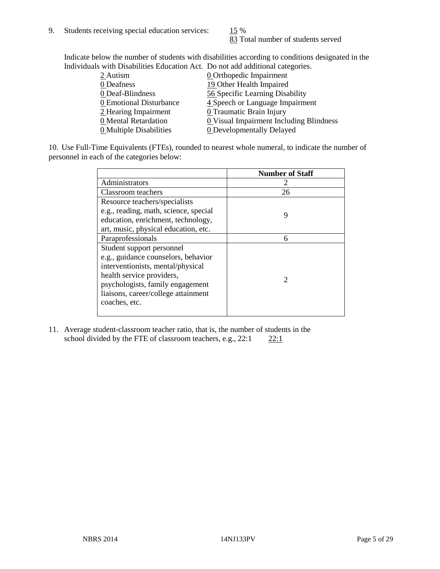83 Total number of students served

Indicate below the number of students with disabilities according to conditions designated in the Individuals with Disabilities Education Act. Do not add additional categories.

| marriaans with Disabilities Laacahon rict. Do hot aaa aaantonar categorics. |                                         |
|-----------------------------------------------------------------------------|-----------------------------------------|
| $2$ Autism                                                                  | <b>0</b> Orthopedic Impairment          |
| 0 Deafness                                                                  | 19 Other Health Impaired                |
| 0 Deaf-Blindness                                                            | 56 Specific Learning Disability         |
| 0 Emotional Disturbance                                                     | 4 Speech or Language Impairment         |
| 2 Hearing Impairment                                                        | 0 Traumatic Brain Injury                |
| 0 Mental Retardation                                                        | 0 Visual Impairment Including Blindness |
| 0 Multiple Disabilities                                                     | <b>0</b> Developmentally Delayed        |
|                                                                             |                                         |

10. Use Full-Time Equivalents (FTEs), rounded to nearest whole numeral, to indicate the number of personnel in each of the categories below:

|                                       | <b>Number of Staff</b>      |
|---------------------------------------|-----------------------------|
| Administrators                        |                             |
| Classroom teachers                    | 26                          |
| Resource teachers/specialists         |                             |
| e.g., reading, math, science, special | 9                           |
| education, enrichment, technology,    |                             |
| art, music, physical education, etc.  |                             |
| Paraprofessionals                     | 6                           |
| Student support personnel             |                             |
| e.g., guidance counselors, behavior   |                             |
| interventionists, mental/physical     |                             |
| health service providers,             | $\mathcal{D}_{\mathcal{L}}$ |
| psychologists, family engagement      |                             |
| liaisons, career/college attainment   |                             |
| coaches, etc.                         |                             |
|                                       |                             |

11. Average student-classroom teacher ratio, that is, the number of students in the school divided by the FTE of classroom teachers, e.g.,  $22:1$   $22:1$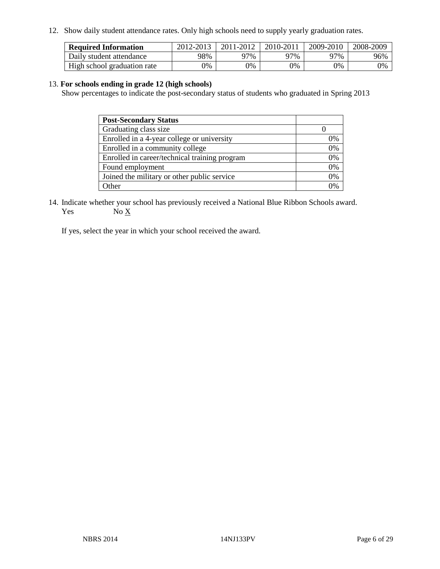12. Show daily student attendance rates. Only high schools need to supply yearly graduation rates.

| <b>Required Information</b> | 2012-2013 | 2011-2012 | 2010-2011 | 2009-2010 | 2008-2009 |
|-----------------------------|-----------|-----------|-----------|-----------|-----------|
| Daily student attendance    | 98%       | ነ7%       | 97%       | 77%       | 96%       |
| High school graduation rate | 9%        | 0%        | 0%        | 0%        | 0%        |

#### 13. **For schools ending in grade 12 (high schools)**

Show percentages to indicate the post-secondary status of students who graduated in Spring 2013

| <b>Post-Secondary Status</b>                  |    |
|-----------------------------------------------|----|
| Graduating class size                         |    |
| Enrolled in a 4-year college or university    | 0% |
| Enrolled in a community college               | 0% |
| Enrolled in career/technical training program | 0% |
| Found employment                              | 0% |
| Joined the military or other public service   | 0% |
| . Other                                       | 0/ |

14. Indicate whether your school has previously received a National Blue Ribbon Schools award. Yes  $No \underline{X}$ 

If yes, select the year in which your school received the award.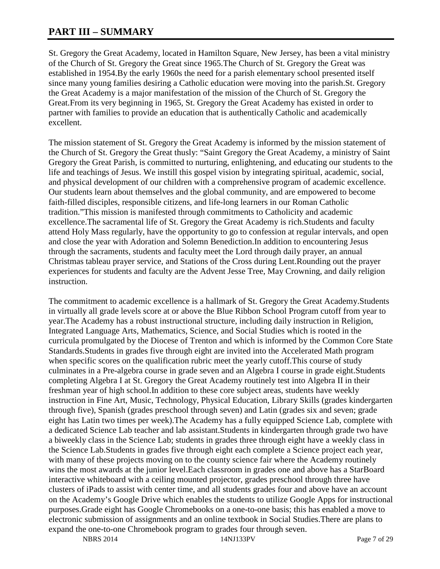# **PART III – SUMMARY**

St. Gregory the Great Academy, located in Hamilton Square, New Jersey, has been a vital ministry of the Church of St. Gregory the Great since 1965.The Church of St. Gregory the Great was established in 1954.By the early 1960s the need for a parish elementary school presented itself since many young families desiring a Catholic education were moving into the parish.St. Gregory the Great Academy is a major manifestation of the mission of the Church of St. Gregory the Great.From its very beginning in 1965, St. Gregory the Great Academy has existed in order to partner with families to provide an education that is authentically Catholic and academically excellent.

The mission statement of St. Gregory the Great Academy is informed by the mission statement of the Church of St. Gregory the Great thusly: "Saint Gregory the Great Academy, a ministry of Saint Gregory the Great Parish, is committed to nurturing, enlightening, and educating our students to the life and teachings of Jesus. We instill this gospel vision by integrating spiritual, academic, social, and physical development of our children with a comprehensive program of academic excellence. Our students learn about themselves and the global community, and are empowered to become faith-filled disciples, responsible citizens, and life-long learners in our Roman Catholic tradition."This mission is manifested through commitments to Catholicity and academic excellence.The sacramental life of St. Gregory the Great Academy is rich.Students and faculty attend Holy Mass regularly, have the opportunity to go to confession at regular intervals, and open and close the year with Adoration and Solemn Benediction.In addition to encountering Jesus through the sacraments, students and faculty meet the Lord through daily prayer, an annual Christmas tableau prayer service, and Stations of the Cross during Lent.Rounding out the prayer experiences for students and faculty are the Advent Jesse Tree, May Crowning, and daily religion instruction.

The commitment to academic excellence is a hallmark of St. Gregory the Great Academy.Students in virtually all grade levels score at or above the Blue Ribbon School Program cutoff from year to year.The Academy has a robust instructional structure, including daily instruction in Religion, Integrated Language Arts, Mathematics, Science, and Social Studies which is rooted in the curricula promulgated by the Diocese of Trenton and which is informed by the Common Core State Standards.Students in grades five through eight are invited into the Accelerated Math program when specific scores on the qualification rubric meet the yearly cutoff.This course of study culminates in a Pre-algebra course in grade seven and an Algebra I course in grade eight.Students completing Algebra I at St. Gregory the Great Academy routinely test into Algebra II in their freshman year of high school.In addition to these core subject areas, students have weekly instruction in Fine Art, Music, Technology, Physical Education, Library Skills (grades kindergarten through five), Spanish (grades preschool through seven) and Latin (grades six and seven; grade eight has Latin two times per week).The Academy has a fully equipped Science Lab, complete with a dedicated Science Lab teacher and lab assistant.Students in kindergarten through grade two have a biweekly class in the Science Lab; students in grades three through eight have a weekly class in the Science Lab.Students in grades five through eight each complete a Science project each year, with many of these projects moving on to the county science fair where the Academy routinely wins the most awards at the junior level.Each classroom in grades one and above has a StarBoard interactive whiteboard with a ceiling mounted projector, grades preschool through three have clusters of iPads to assist with center time, and all students grades four and above have an account on the Academy's Google Drive which enables the students to utilize Google Apps for instructional purposes.Grade eight has Google Chromebooks on a one-to-one basis; this has enabled a move to electronic submission of assignments and an online textbook in Social Studies.There are plans to expand the one-to-one Chromebook program to grades four through seven.

NBRS 2014 14NJ133PV Page 7 of 29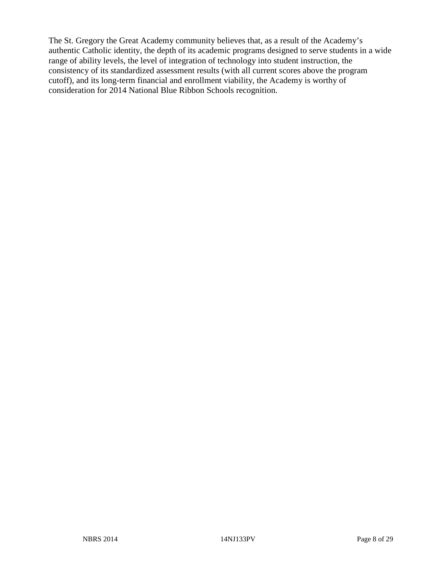The St. Gregory the Great Academy community believes that, as a result of the Academy's authentic Catholic identity, the depth of its academic programs designed to serve students in a wide range of ability levels, the level of integration of technology into student instruction, the consistency of its standardized assessment results (with all current scores above the program cutoff), and its long-term financial and enrollment viability, the Academy is worthy of consideration for 2014 National Blue Ribbon Schools recognition.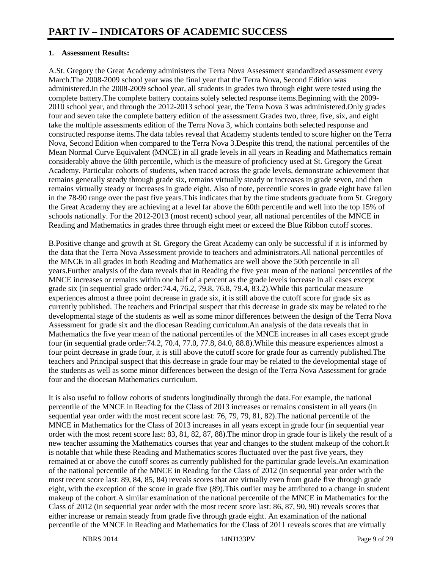### **1. Assessment Results:**

A.St. Gregory the Great Academy administers the Terra Nova Assessment standardized assessment every March.The 2008-2009 school year was the final year that the Terra Nova, Second Edition was administered.In the 2008-2009 school year, all students in grades two through eight were tested using the complete battery.The complete battery contains solely selected response items.Beginning with the 2009- 2010 school year, and through the 2012-2013 school year, the Terra Nova 3 was administered.Only grades four and seven take the complete battery edition of the assessment.Grades two, three, five, six, and eight take the multiple assessments edition of the Terra Nova 3, which contains both selected response and constructed response items.The data tables reveal that Academy students tended to score higher on the Terra Nova, Second Edition when compared to the Terra Nova 3.Despite this trend, the national percentiles of the Mean Normal Curve Equivalent (MNCE) in all grade levels in all years in Reading and Mathematics remain considerably above the 60th percentile, which is the measure of proficiency used at St. Gregory the Great Academy. Particular cohorts of students, when traced across the grade levels, demonstrate achievement that remains generally steady through grade six, remains virtually steady or increases in grade seven, and then remains virtually steady or increases in grade eight. Also of note, percentile scores in grade eight have fallen in the 78-90 range over the past five years.This indicates that by the time students graduate from St. Gregory the Great Academy they are achieving at a level far above the 60th percentile and well into the top 15% of schools nationally. For the 2012-2013 (most recent) school year, all national percentiles of the MNCE in Reading and Mathematics in grades three through eight meet or exceed the Blue Ribbon cutoff scores.

B.Positive change and growth at St. Gregory the Great Academy can only be successful if it is informed by the data that the Terra Nova Assessment provide to teachers and administrators.All national percentiles of the MNCE in all grades in both Reading and Mathematics are well above the 50th percentile in all years.Further analysis of the data reveals that in Reading the five year mean of the national percentiles of the MNCE increases or remains within one half of a percent as the grade levels increase in all cases except grade six (in sequential grade order:74.4, 76.2, 79.8, 76.8, 79.4, 83.2).While this particular measure experiences almost a three point decrease in grade six, it is still above the cutoff score for grade six as currently published. The teachers and Principal suspect that this decrease in grade six may be related to the developmental stage of the students as well as some minor differences between the design of the Terra Nova Assessment for grade six and the diocesan Reading curriculum.An analysis of the data reveals that in Mathematics the five year mean of the national percentiles of the MNCE increases in all cases except grade four (in sequential grade order:74.2, 70.4, 77.0, 77.8, 84.0, 88.8).While this measure experiences almost a four point decrease in grade four, it is still above the cutoff score for grade four as currently published.The teachers and Principal suspect that this decrease in grade four may be related to the developmental stage of the students as well as some minor differences between the design of the Terra Nova Assessment for grade four and the diocesan Mathematics curriculum.

It is also useful to follow cohorts of students longitudinally through the data.For example, the national percentile of the MNCE in Reading for the Class of 2013 increases or remains consistent in all years (in sequential year order with the most recent score last: 76, 79, 79, 81, 82).The national percentile of the MNCE in Mathematics for the Class of 2013 increases in all years except in grade four (in sequential year order with the most recent score last: 83, 81, 82, 87, 88).The minor drop in grade four is likely the result of a new teacher assuming the Mathematics courses that year and changes to the student makeup of the cohort.It is notable that while these Reading and Mathematics scores fluctuated over the past five years, they remained at or above the cutoff scores as currently published for the particular grade levels.An examination of the national percentile of the MNCE in Reading for the Class of 2012 (in sequential year order with the most recent score last: 89, 84, 85, 84) reveals scores that are virtually even from grade five through grade eight, with the exception of the score in grade five (89).This outlier may be attributed to a change in student makeup of the cohort.A similar examination of the national percentile of the MNCE in Mathematics for the Class of 2012 (in sequential year order with the most recent score last: 86, 87, 90, 90) reveals scores that either increase or remain steady from grade five through grade eight. An examination of the national percentile of the MNCE in Reading and Mathematics for the Class of 2011 reveals scores that are virtually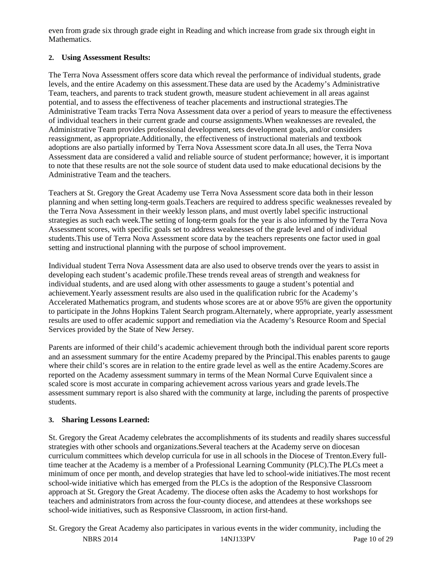even from grade six through grade eight in Reading and which increase from grade six through eight in Mathematics.

# **2. Using Assessment Results:**

The Terra Nova Assessment offers score data which reveal the performance of individual students, grade levels, and the entire Academy on this assessment.These data are used by the Academy's Administrative Team, teachers, and parents to track student growth, measure student achievement in all areas against potential, and to assess the effectiveness of teacher placements and instructional strategies.The Administrative Team tracks Terra Nova Assessment data over a period of years to measure the effectiveness of individual teachers in their current grade and course assignments.When weaknesses are revealed, the Administrative Team provides professional development, sets development goals, and/or considers reassignment, as appropriate.Additionally, the effectiveness of instructional materials and textbook adoptions are also partially informed by Terra Nova Assessment score data.In all uses, the Terra Nova Assessment data are considered a valid and reliable source of student performance; however, it is important to note that these results are not the sole source of student data used to make educational decisions by the Administrative Team and the teachers.

Teachers at St. Gregory the Great Academy use Terra Nova Assessment score data both in their lesson planning and when setting long-term goals.Teachers are required to address specific weaknesses revealed by the Terra Nova Assessment in their weekly lesson plans, and must overtly label specific instructional strategies as such each week.The setting of long-term goals for the year is also informed by the Terra Nova Assessment scores, with specific goals set to address weaknesses of the grade level and of individual students.This use of Terra Nova Assessment score data by the teachers represents one factor used in goal setting and instructional planning with the purpose of school improvement.

Individual student Terra Nova Assessment data are also used to observe trends over the years to assist in developing each student's academic profile.These trends reveal areas of strength and weakness for individual students, and are used along with other assessments to gauge a student's potential and achievement.Yearly assessment results are also used in the qualification rubric for the Academy's Accelerated Mathematics program, and students whose scores are at or above 95% are given the opportunity to participate in the Johns Hopkins Talent Search program.Alternately, where appropriate, yearly assessment results are used to offer academic support and remediation via the Academy's Resource Room and Special Services provided by the State of New Jersey.

Parents are informed of their child's academic achievement through both the individual parent score reports and an assessment summary for the entire Academy prepared by the Principal.This enables parents to gauge where their child's scores are in relation to the entire grade level as well as the entire Academy.Scores are reported on the Academy assessment summary in terms of the Mean Normal Curve Equivalent since a scaled score is most accurate in comparing achievement across various years and grade levels.The assessment summary report is also shared with the community at large, including the parents of prospective students.

# **3. Sharing Lessons Learned:**

St. Gregory the Great Academy celebrates the accomplishments of its students and readily shares successful strategies with other schools and organizations.Several teachers at the Academy serve on diocesan curriculum committees which develop curricula for use in all schools in the Diocese of Trenton.Every fulltime teacher at the Academy is a member of a Professional Learning Community (PLC).The PLCs meet a minimum of once per month, and develop strategies that have led to school-wide initiatives.The most recent school-wide initiative which has emerged from the PLCs is the adoption of the Responsive Classroom approach at St. Gregory the Great Academy. The diocese often asks the Academy to host workshops for teachers and administrators from across the four-county diocese, and attendees at these workshops see school-wide initiatives, such as Responsive Classroom, in action first-hand.

NBRS 2014 14NJ133PV Page 10 of 29 St. Gregory the Great Academy also participates in various events in the wider community, including the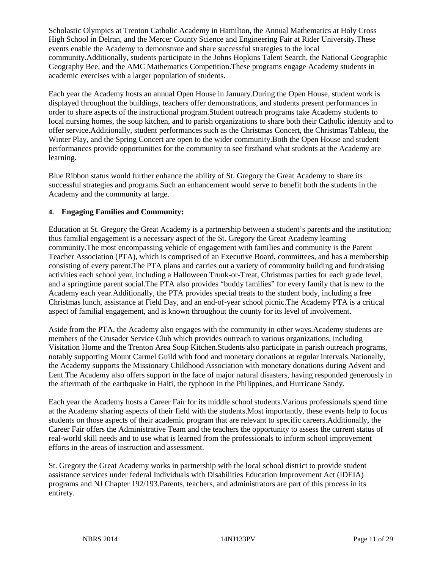Scholastic Olympics at Trenton Catholic Academy in Hamilton, the Annual Mathematics at Holy Cross High School in Delran, and the Mercer County Science and Engineering Fair at Rider University.These events enable the Academy to demonstrate and share successful strategies to the local community.Additionally, students participate in the Johns Hopkins Talent Search, the National Geographic Geography Bee, and the AMC Mathematics Competition.These programs engage Academy students in academic exercises with a larger population of students.

Each year the Academy hosts an annual Open House in January.During the Open House, student work is displayed throughout the buildings, teachers offer demonstrations, and students present performances in order to share aspects of the instructional program.Student outreach programs take Academy students to local nursing homes, the soup kitchen, and to parish organizations to share both their Catholic identity and to offer service.Additionally, student performances such as the Christmas Concert, the Christmas Tableau, the Winter Play, and the Spring Concert are open to the wider community.Both the Open House and student performances provide opportunities for the community to see firsthand what students at the Academy are learning.

Blue Ribbon status would further enhance the ability of St. Gregory the Great Academy to share its successful strategies and programs.Such an enhancement would serve to benefit both the students in the Academy and the community at large.

# **4. Engaging Families and Community:**

Education at St. Gregory the Great Academy is a partnership between a student's parents and the institution; thus familial engagement is a necessary aspect of the St. Gregory the Great Academy learning community.The most encompassing vehicle of engagement with families and community is the Parent Teacher Association (PTA), which is comprised of an Executive Board, committees, and has a membership consisting of every parent.The PTA plans and carries out a variety of community building and fundraising activities each school year, including a Halloween Trunk-or-Treat, Christmas parties for each grade level, and a springtime parent social.The PTA also provides "buddy families" for every family that is new to the Academy each year.Additionally, the PTA provides special treats to the student body, including a free Christmas lunch, assistance at Field Day, and an end-of-year school picnic.The Academy PTA is a critical aspect of familial engagement, and is known throughout the county for its level of involvement.

Aside from the PTA, the Academy also engages with the community in other ways.Academy students are members of the Crusader Service Club which provides outreach to various organizations, including Visitation Home and the Trenton Area Soup Kitchen.Students also participate in parish outreach programs, notably supporting Mount Carmel Guild with food and monetary donations at regular intervals.Nationally, the Academy supports the Missionary Childhood Association with monetary donations during Advent and Lent.The Academy also offers support in the face of major natural disasters, having responded generously in the aftermath of the earthquake in Haiti, the typhoon in the Philippines, and Hurricane Sandy.

Each year the Academy hosts a Career Fair for its middle school students.Various professionals spend time at the Academy sharing aspects of their field with the students.Most importantly, these events help to focus students on those aspects of their academic program that are relevant to specific careers.Additionally, the Career Fair offers the Administrative Team and the teachers the opportunity to assess the current status of real-world skill needs and to use what is learned from the professionals to inform school improvement efforts in the areas of instruction and assessment.

St. Gregory the Great Academy works in partnership with the local school district to provide student assistance services under federal Individuals with Disabilities Education Improvement Act (IDEIA) programs and NJ Chapter 192/193.Parents, teachers, and administrators are part of this process in its entirety.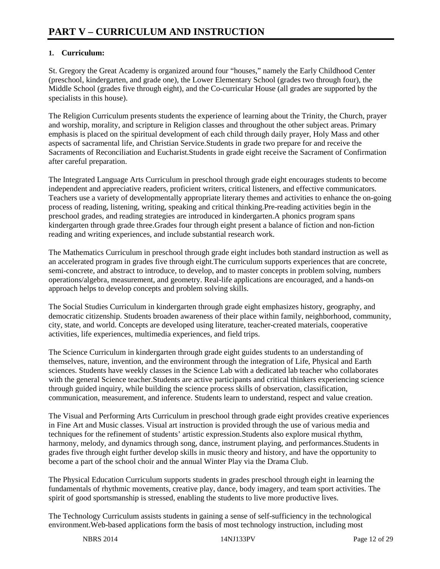# **1. Curriculum:**

St. Gregory the Great Academy is organized around four "houses," namely the Early Childhood Center (preschool, kindergarten, and grade one), the Lower Elementary School (grades two through four), the Middle School (grades five through eight), and the Co-curricular House (all grades are supported by the specialists in this house).

The Religion Curriculum presents students the experience of learning about the Trinity, the Church, prayer and worship, morality, and scripture in Religion classes and throughout the other subject areas. Primary emphasis is placed on the spiritual development of each child through daily prayer, Holy Mass and other aspects of sacramental life, and Christian Service.Students in grade two prepare for and receive the Sacraments of Reconciliation and Eucharist.Students in grade eight receive the Sacrament of Confirmation after careful preparation.

The Integrated Language Arts Curriculum in preschool through grade eight encourages students to become independent and appreciative readers, proficient writers, critical listeners, and effective communicators. Teachers use a variety of developmentally appropriate literary themes and activities to enhance the on-going process of reading, listening, writing, speaking and critical thinking.Pre-reading activities begin in the preschool grades, and reading strategies are introduced in kindergarten.A phonics program spans kindergarten through grade three.Grades four through eight present a balance of fiction and non-fiction reading and writing experiences, and include substantial research work.

The Mathematics Curriculum in preschool through grade eight includes both standard instruction as well as an accelerated program in grades five through eight.The curriculum supports experiences that are concrete, semi-concrete, and abstract to introduce, to develop, and to master concepts in problem solving, numbers operations/algebra, measurement, and geometry. Real-life applications are encouraged, and a hands-on approach helps to develop concepts and problem solving skills.

The Social Studies Curriculum in kindergarten through grade eight emphasizes history, geography, and democratic citizenship. Students broaden awareness of their place within family, neighborhood, community, city, state, and world. Concepts are developed using literature, teacher-created materials, cooperative activities, life experiences, multimedia experiences, and field trips.

The Science Curriculum in kindergarten through grade eight guides students to an understanding of themselves, nature, invention, and the environment through the integration of Life, Physical and Earth sciences. Students have weekly classes in the Science Lab with a dedicated lab teacher who collaborates with the general Science teacher. Students are active participants and critical thinkers experiencing science through guided inquiry, while building the science process skills of observation, classification, communication, measurement, and inference. Students learn to understand, respect and value creation.

The Visual and Performing Arts Curriculum in preschool through grade eight provides creative experiences in Fine Art and Music classes. Visual art instruction is provided through the use of various media and techniques for the refinement of students' artistic expression.Students also explore musical rhythm, harmony, melody, and dynamics through song, dance, instrument playing, and performances. Students in grades five through eight further develop skills in music theory and history, and have the opportunity to become a part of the school choir and the annual Winter Play via the Drama Club.

The Physical Education Curriculum supports students in grades preschool through eight in learning the fundamentals of rhythmic movements, creative play, dance, body imagery, and team sport activities. The spirit of good sportsmanship is stressed, enabling the students to live more productive lives.

The Technology Curriculum assists students in gaining a sense of self-sufficiency in the technological environment.Web-based applications form the basis of most technology instruction, including most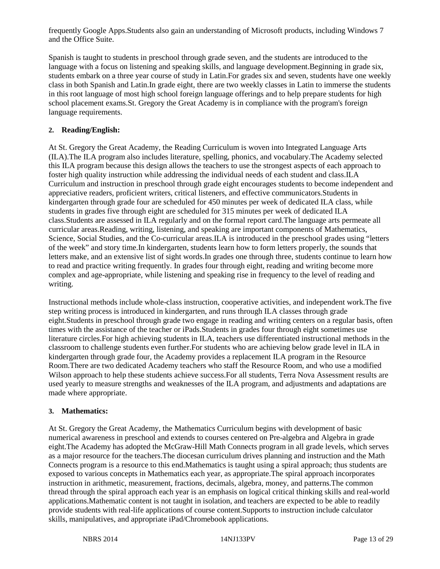frequently Google Apps.Students also gain an understanding of Microsoft products, including Windows 7 and the Office Suite.

Spanish is taught to students in preschool through grade seven, and the students are introduced to the language with a focus on listening and speaking skills, and language development.Beginning in grade six, students embark on a three year course of study in Latin.For grades six and seven, students have one weekly class in both Spanish and Latin.In grade eight, there are two weekly classes in Latin to immerse the students in this root language of most high school foreign language offerings and to help prepare students for high school placement exams.St. Gregory the Great Academy is in compliance with the program's foreign language requirements.

# **2. Reading/English:**

At St. Gregory the Great Academy, the Reading Curriculum is woven into Integrated Language Arts (ILA).The ILA program also includes literature, spelling, phonics, and vocabulary.The Academy selected this ILA program because this design allows the teachers to use the strongest aspects of each approach to foster high quality instruction while addressing the individual needs of each student and class.ILA Curriculum and instruction in preschool through grade eight encourages students to become independent and appreciative readers, proficient writers, critical listeners, and effective communicators.Students in kindergarten through grade four are scheduled for 450 minutes per week of dedicated ILA class, while students in grades five through eight are scheduled for 315 minutes per week of dedicated ILA class.Students are assessed in ILA regularly and on the formal report card.The language arts permeate all curricular areas.Reading, writing, listening, and speaking are important components of Mathematics, Science, Social Studies, and the Co-curricular areas.ILA is introduced in the preschool grades using "letters of the week" and story time.In kindergarten, students learn how to form letters properly, the sounds that letters make, and an extensive list of sight words.In grades one through three, students continue to learn how to read and practice writing frequently. In grades four through eight, reading and writing become more complex and age-appropriate, while listening and speaking rise in frequency to the level of reading and writing.

Instructional methods include whole-class instruction, cooperative activities, and independent work.The five step writing process is introduced in kindergarten, and runs through ILA classes through grade eight.Students in preschool through grade two engage in reading and writing centers on a regular basis, often times with the assistance of the teacher or iPads.Students in grades four through eight sometimes use literature circles.For high achieving students in ILA, teachers use differentiated instructional methods in the classroom to challenge students even further.For students who are achieving below grade level in ILA in kindergarten through grade four, the Academy provides a replacement ILA program in the Resource Room.There are two dedicated Academy teachers who staff the Resource Room, and who use a modified Wilson approach to help these students achieve success.For all students, Terra Nova Assessment results are used yearly to measure strengths and weaknesses of the ILA program, and adjustments and adaptations are made where appropriate.

# **3. Mathematics:**

At St. Gregory the Great Academy, the Mathematics Curriculum begins with development of basic numerical awareness in preschool and extends to courses centered on Pre-algebra and Algebra in grade eight.The Academy has adopted the McGraw-Hill Math Connects program in all grade levels, which serves as a major resource for the teachers.The diocesan curriculum drives planning and instruction and the Math Connects program is a resource to this end.Mathematics is taught using a spiral approach; thus students are exposed to various concepts in Mathematics each year, as appropriate.The spiral approach incorporates instruction in arithmetic, measurement, fractions, decimals, algebra, money, and patterns.The common thread through the spiral approach each year is an emphasis on logical critical thinking skills and real-world applications.Mathematic content is not taught in isolation, and teachers are expected to be able to readily provide students with real-life applications of course content.Supports to instruction include calculator skills, manipulatives, and appropriate iPad/Chromebook applications.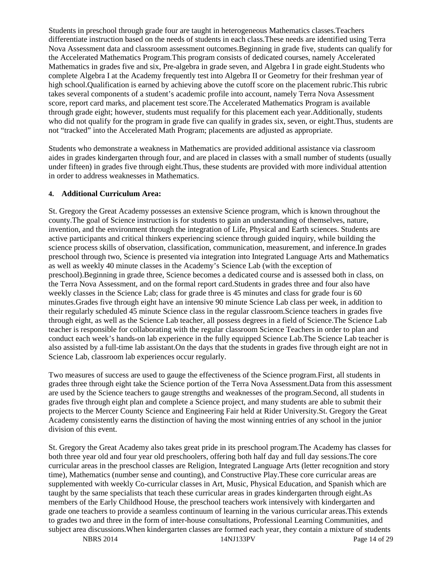Students in preschool through grade four are taught in heterogeneous Mathematics classes.Teachers differentiate instruction based on the needs of students in each class.These needs are identified using Terra Nova Assessment data and classroom assessment outcomes.Beginning in grade five, students can qualify for the Accelerated Mathematics Program.This program consists of dedicated courses, namely Accelerated Mathematics in grades five and six, Pre-algebra in grade seven, and Algebra I in grade eight.Students who complete Algebra I at the Academy frequently test into Algebra II or Geometry for their freshman year of high school.Qualification is earned by achieving above the cutoff score on the placement rubric.This rubric takes several components of a student's academic profile into account, namely Terra Nova Assessment score, report card marks, and placement test score.The Accelerated Mathematics Program is available through grade eight; however, students must requalify for this placement each year.Additionally, students who did not qualify for the program in grade five can qualify in grades six, seven, or eight. Thus, students are not "tracked" into the Accelerated Math Program; placements are adjusted as appropriate.

Students who demonstrate a weakness in Mathematics are provided additional assistance via classroom aides in grades kindergarten through four, and are placed in classes with a small number of students (usually under fifteen) in grades five through eight.Thus, these students are provided with more individual attention in order to address weaknesses in Mathematics.

### **4. Additional Curriculum Area:**

St. Gregory the Great Academy possesses an extensive Science program, which is known throughout the county.The goal of Science instruction is for students to gain an understanding of themselves, nature, invention, and the environment through the integration of Life, Physical and Earth sciences. Students are active participants and critical thinkers experiencing science through guided inquiry, while building the science process skills of observation, classification, communication, measurement, and inference.In grades preschool through two, Science is presented via integration into Integrated Language Arts and Mathematics as well as weekly 40 minute classes in the Academy's Science Lab (with the exception of preschool).Beginning in grade three, Science becomes a dedicated course and is assessed both in class, on the Terra Nova Assessment, and on the formal report card.Students in grades three and four also have weekly classes in the Science Lab; class for grade three is 45 minutes and class for grade four is 60 minutes.Grades five through eight have an intensive 90 minute Science Lab class per week, in addition to their regularly scheduled 45 minute Science class in the regular classroom.Science teachers in grades five through eight, as well as the Science Lab teacher, all possess degrees in a field of Science.The Science Lab teacher is responsible for collaborating with the regular classroom Science Teachers in order to plan and conduct each week's hands-on lab experience in the fully equipped Science Lab.The Science Lab teacher is also assisted by a full-time lab assistant.On the days that the students in grades five through eight are not in Science Lab, classroom lab experiences occur regularly.

Two measures of success are used to gauge the effectiveness of the Science program.First, all students in grades three through eight take the Science portion of the Terra Nova Assessment.Data from this assessment are used by the Science teachers to gauge strengths and weaknesses of the program.Second, all students in grades five through eight plan and complete a Science project, and many students are able to submit their projects to the Mercer County Science and Engineering Fair held at Rider University.St. Gregory the Great Academy consistently earns the distinction of having the most winning entries of any school in the junior division of this event.

St. Gregory the Great Academy also takes great pride in its preschool program.The Academy has classes for both three year old and four year old preschoolers, offering both half day and full day sessions.The core curricular areas in the preschool classes are Religion, Integrated Language Arts (letter recognition and story time), Mathematics (number sense and counting), and Constructive Play.These core curricular areas are supplemented with weekly Co-curricular classes in Art, Music, Physical Education, and Spanish which are taught by the same specialists that teach these curricular areas in grades kindergarten through eight.As members of the Early Childhood House, the preschool teachers work intensively with kindergarten and grade one teachers to provide a seamless continuum of learning in the various curricular areas.This extends to grades two and three in the form of inter-house consultations, Professional Learning Communities, and subject area discussions.When kindergarten classes are formed each year, they contain a mixture of students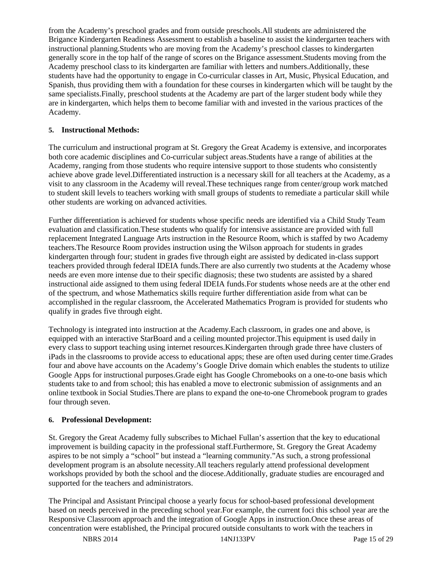from the Academy's preschool grades and from outside preschools.All students are administered the Brigance Kindergarten Readiness Assessment to establish a baseline to assist the kindergarten teachers with instructional planning.Students who are moving from the Academy's preschool classes to kindergarten generally score in the top half of the range of scores on the Brigance assessment.Students moving from the Academy preschool class to its kindergarten are familiar with letters and numbers.Additionally, these students have had the opportunity to engage in Co-curricular classes in Art, Music, Physical Education, and Spanish, thus providing them with a foundation for these courses in kindergarten which will be taught by the same specialists.Finally, preschool students at the Academy are part of the larger student body while they are in kindergarten, which helps them to become familiar with and invested in the various practices of the Academy.

# **5. Instructional Methods:**

The curriculum and instructional program at St. Gregory the Great Academy is extensive, and incorporates both core academic disciplines and Co-curricular subject areas.Students have a range of abilities at the Academy, ranging from those students who require intensive support to those students who consistently achieve above grade level.Differentiated instruction is a necessary skill for all teachers at the Academy, as a visit to any classroom in the Academy will reveal.These techniques range from center/group work matched to student skill levels to teachers working with small groups of students to remediate a particular skill while other students are working on advanced activities.

Further differentiation is achieved for students whose specific needs are identified via a Child Study Team evaluation and classification.These students who qualify for intensive assistance are provided with full replacement Integrated Language Arts instruction in the Resource Room, which is staffed by two Academy teachers.The Resource Room provides instruction using the Wilson approach for students in grades kindergarten through four; student in grades five through eight are assisted by dedicated in-class support teachers provided through federal IDEIA funds.There are also currently two students at the Academy whose needs are even more intense due to their specific diagnosis; these two students are assisted by a shared instructional aide assigned to them using federal IDEIA funds.For students whose needs are at the other end of the spectrum, and whose Mathematics skills require further differentiation aside from what can be accomplished in the regular classroom, the Accelerated Mathematics Program is provided for students who qualify in grades five through eight.

Technology is integrated into instruction at the Academy.Each classroom, in grades one and above, is equipped with an interactive StarBoard and a ceiling mounted projector.This equipment is used daily in every class to support teaching using internet resources.Kindergarten through grade three have clusters of iPads in the classrooms to provide access to educational apps; these are often used during center time.Grades four and above have accounts on the Academy's Google Drive domain which enables the students to utilize Google Apps for instructional purposes.Grade eight has Google Chromebooks on a one-to-one basis which students take to and from school; this has enabled a move to electronic submission of assignments and an online textbook in Social Studies.There are plans to expand the one-to-one Chromebook program to grades four through seven.

#### **6. Professional Development:**

St. Gregory the Great Academy fully subscribes to Michael Fullan's assertion that the key to educational improvement is building capacity in the professional staff.Furthermore, St. Gregory the Great Academy aspires to be not simply a "school" but instead a "learning community."As such, a strong professional development program is an absolute necessity.All teachers regularly attend professional development workshops provided by both the school and the diocese.Additionally, graduate studies are encouraged and supported for the teachers and administrators.

The Principal and Assistant Principal choose a yearly focus for school-based professional development based on needs perceived in the preceding school year.For example, the current foci this school year are the Responsive Classroom approach and the integration of Google Apps in instruction.Once these areas of concentration were established, the Principal procured outside consultants to work with the teachers in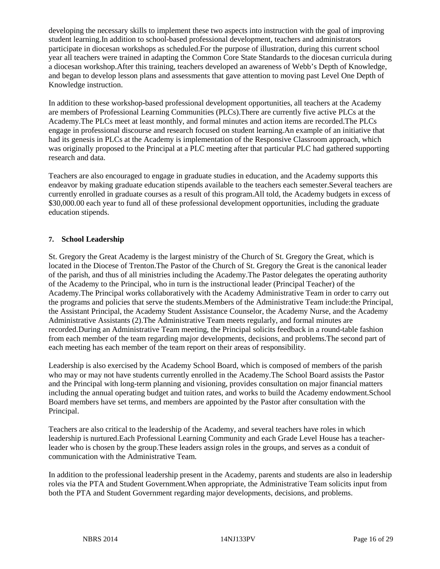developing the necessary skills to implement these two aspects into instruction with the goal of improving student learning.In addition to school-based professional development, teachers and administrators participate in diocesan workshops as scheduled.For the purpose of illustration, during this current school year all teachers were trained in adapting the Common Core State Standards to the diocesan curricula during a diocesan workshop.After this training, teachers developed an awareness of Webb's Depth of Knowledge, and began to develop lesson plans and assessments that gave attention to moving past Level One Depth of Knowledge instruction.

In addition to these workshop-based professional development opportunities, all teachers at the Academy are members of Professional Learning Communities (PLCs).There are currently five active PLCs at the Academy.The PLCs meet at least monthly, and formal minutes and action items are recorded.The PLCs engage in professional discourse and research focused on student learning.An example of an initiative that had its genesis in PLCs at the Academy is implementation of the Responsive Classroom approach, which was originally proposed to the Principal at a PLC meeting after that particular PLC had gathered supporting research and data.

Teachers are also encouraged to engage in graduate studies in education, and the Academy supports this endeavor by making graduate education stipends available to the teachers each semester.Several teachers are currently enrolled in graduate courses as a result of this program.All told, the Academy budgets in excess of \$30,000.00 each year to fund all of these professional development opportunities, including the graduate education stipends.

# **7. School Leadership**

St. Gregory the Great Academy is the largest ministry of the Church of St. Gregory the Great, which is located in the Diocese of Trenton.The Pastor of the Church of St. Gregory the Great is the canonical leader of the parish, and thus of all ministries including the Academy.The Pastor delegates the operating authority of the Academy to the Principal, who in turn is the instructional leader (Principal Teacher) of the Academy.The Principal works collaboratively with the Academy Administrative Team in order to carry out the programs and policies that serve the students.Members of the Administrative Team include:the Principal, the Assistant Principal, the Academy Student Assistance Counselor, the Academy Nurse, and the Academy Administrative Assistants (2).The Administrative Team meets regularly, and formal minutes are recorded.During an Administrative Team meeting, the Principal solicits feedback in a round-table fashion from each member of the team regarding major developments, decisions, and problems.The second part of each meeting has each member of the team report on their areas of responsibility.

Leadership is also exercised by the Academy School Board, which is composed of members of the parish who may or may not have students currently enrolled in the Academy.The School Board assists the Pastor and the Principal with long-term planning and visioning, provides consultation on major financial matters including the annual operating budget and tuition rates, and works to build the Academy endowment.School Board members have set terms, and members are appointed by the Pastor after consultation with the Principal.

Teachers are also critical to the leadership of the Academy, and several teachers have roles in which leadership is nurtured.Each Professional Learning Community and each Grade Level House has a teacherleader who is chosen by the group.These leaders assign roles in the groups, and serves as a conduit of communication with the Administrative Team.

In addition to the professional leadership present in the Academy, parents and students are also in leadership roles via the PTA and Student Government.When appropriate, the Administrative Team solicits input from both the PTA and Student Government regarding major developments, decisions, and problems.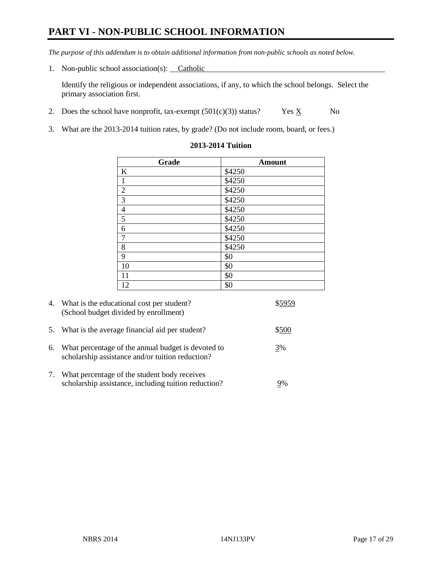# **PART VI - NON-PUBLIC SCHOOL INFORMATION**

*The purpose of this addendum is to obtain additional information from non-public schools as noted below.* 

1. Non-public school association(s): Catholic

Identify the religious or independent associations, if any, to which the school belongs. Select the primary association first.

- 2. Does the school have nonprofit, tax-exempt  $(501(c)(3))$  status? Yes  $\underline{X}$  No
- 3. What are the 2013-2014 tuition rates, by grade? (Do not include room, board, or fees.)

| Grade            | <b>Amount</b> |
|------------------|---------------|
| $\bf K$          | \$4250        |
| $\mathbf{1}$     | \$4250        |
| $\overline{2}$   | \$4250        |
| $\overline{3}$   | \$4250        |
| $\frac{4}{5}$    | \$4250        |
|                  | \$4250        |
| $\boldsymbol{6}$ | \$4250        |
| $\boldsymbol{7}$ | \$4250        |
| $\,$ 8 $\,$      | \$4250        |
| $\overline{9}$   | \$0           |
| 10               | \$0           |
| 11               | \$0           |
| 12               | \$0           |

#### **2013-2014 Tuition**

|            | 4. What is the educational cost per student?<br>(School budget divided by enrollment)                  |       |
|------------|--------------------------------------------------------------------------------------------------------|-------|
| 5.         | What is the average financial aid per student?                                                         | \$500 |
| 6.         | What percentage of the annual budget is devoted to<br>scholarship assistance and/or tuition reduction? | 3%    |
| $\gamma$ . | What percentage of the student body receives<br>scholarship assistance, including tuition reduction?   | 9%    |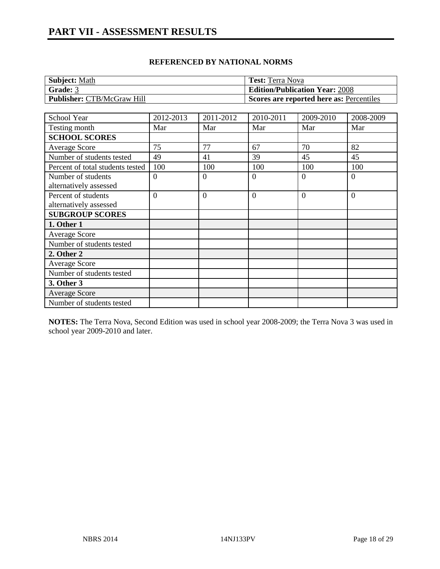| <b>Subject: Math</b>              | <b>Test:</b> Terra Nova                  |
|-----------------------------------|------------------------------------------|
| Grade: 3                          | <b>Edition/Publication Year: 2008</b>    |
| <b>Publisher: CTB/McGraw Hill</b> | Scores are reported here as: Percentiles |

| School Year                      | 2012-2013      | 2011-2012      | 2010-2011      | 2009-2010 | 2008-2009      |
|----------------------------------|----------------|----------------|----------------|-----------|----------------|
| Testing month                    | Mar            | Mar            | Mar            | Mar       | Mar            |
| <b>SCHOOL SCORES</b>             |                |                |                |           |                |
| Average Score                    | 75             | 77             | 67             | 70        | 82             |
| Number of students tested        | 49             | 41             | 39             | 45        | 45             |
| Percent of total students tested | 100            | 100            | 100            | 100       | 100            |
| Number of students               | $\Omega$       | $\Omega$       | $\theta$       | $\Omega$  | $\theta$       |
| alternatively assessed           |                |                |                |           |                |
| Percent of students              | $\overline{0}$ | $\overline{0}$ | $\overline{0}$ | $\theta$  | $\overline{0}$ |
| alternatively assessed           |                |                |                |           |                |
| <b>SUBGROUP SCORES</b>           |                |                |                |           |                |
| 1. Other 1                       |                |                |                |           |                |
| <b>Average Score</b>             |                |                |                |           |                |
| Number of students tested        |                |                |                |           |                |
| 2. Other 2                       |                |                |                |           |                |
| Average Score                    |                |                |                |           |                |
| Number of students tested        |                |                |                |           |                |
| 3. Other 3                       |                |                |                |           |                |
| <b>Average Score</b>             |                |                |                |           |                |
| Number of students tested        |                |                |                |           |                |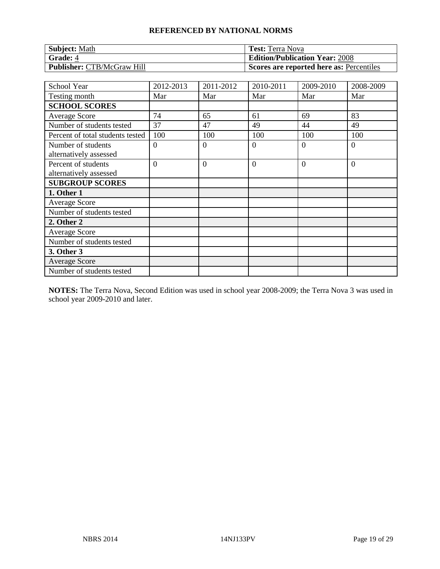| <b>Subject: Math</b>              | <b>Test:</b> Terra Nova                  |
|-----------------------------------|------------------------------------------|
| Grade: 4                          | <b>Edition/Publication Year: 2008</b>    |
| <b>Publisher: CTB/McGraw Hill</b> | Scores are reported here as: Percentiles |

| School Year                                   | 2012-2013      | 2011-2012      | 2010-2011      | 2009-2010 | 2008-2009 |
|-----------------------------------------------|----------------|----------------|----------------|-----------|-----------|
| Testing month                                 | Mar            | Mar            | Mar            | Mar       | Mar       |
| <b>SCHOOL SCORES</b>                          |                |                |                |           |           |
| <b>Average Score</b>                          | 74             | 65             | 61             | 69        | 83        |
| Number of students tested                     | 37             | 47             | 49             | 44        | 49        |
| Percent of total students tested              | 100            | 100            | 100            | 100       | 100       |
| Number of students<br>alternatively assessed  | $\Omega$       | $\Omega$       | $\overline{0}$ | 0         | $\Omega$  |
| Percent of students<br>alternatively assessed | $\overline{0}$ | $\overline{0}$ | $\overline{0}$ | $\Omega$  | $\theta$  |
| <b>SUBGROUP SCORES</b>                        |                |                |                |           |           |
| 1. Other 1                                    |                |                |                |           |           |
| <b>Average Score</b>                          |                |                |                |           |           |
| Number of students tested                     |                |                |                |           |           |
| 2. Other 2                                    |                |                |                |           |           |
| Average Score                                 |                |                |                |           |           |
| Number of students tested                     |                |                |                |           |           |
| 3. Other 3                                    |                |                |                |           |           |
| <b>Average Score</b>                          |                |                |                |           |           |
| Number of students tested                     |                |                |                |           |           |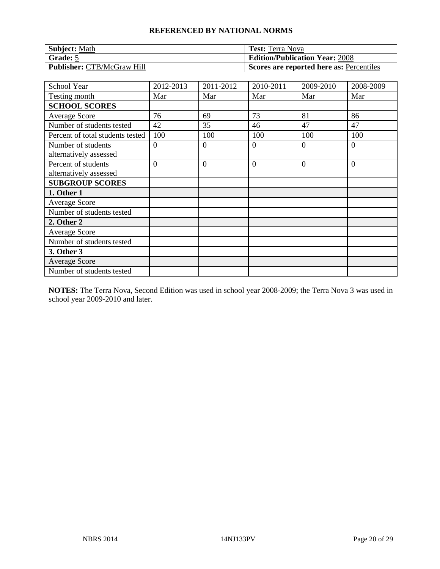| <b>Subject: Math</b>              | <b>Test:</b> Terra Nova                  |
|-----------------------------------|------------------------------------------|
| Grade: 5                          | <b>Edition/Publication Year: 2008</b>    |
| <b>Publisher: CTB/McGraw Hill</b> | Scores are reported here as: Percentiles |

| School Year                                   | 2012-2013      | 2011-2012      | 2010-2011      | 2009-2010 | 2008-2009      |
|-----------------------------------------------|----------------|----------------|----------------|-----------|----------------|
| Testing month                                 | Mar            | Mar            | Mar            | Mar       | Mar            |
| <b>SCHOOL SCORES</b>                          |                |                |                |           |                |
| <b>Average Score</b>                          | 76             | 69             | 73             | 81        | 86             |
| Number of students tested                     | 42             | 35             | 46             | 47        | 47             |
| Percent of total students tested              | 100            | 100            | 100            | 100       | 100            |
| Number of students<br>alternatively assessed  | $\theta$       | $\overline{0}$ | $\overline{0}$ | $\Omega$  | $\overline{0}$ |
| Percent of students<br>alternatively assessed | $\overline{0}$ | $\overline{0}$ | $\overline{0}$ | $\Omega$  | $\overline{0}$ |
| <b>SUBGROUP SCORES</b>                        |                |                |                |           |                |
| 1. Other 1                                    |                |                |                |           |                |
| <b>Average Score</b>                          |                |                |                |           |                |
| Number of students tested                     |                |                |                |           |                |
| 2. Other 2                                    |                |                |                |           |                |
| <b>Average Score</b>                          |                |                |                |           |                |
| Number of students tested                     |                |                |                |           |                |
| 3. Other 3                                    |                |                |                |           |                |
| <b>Average Score</b>                          |                |                |                |           |                |
| Number of students tested                     |                |                |                |           |                |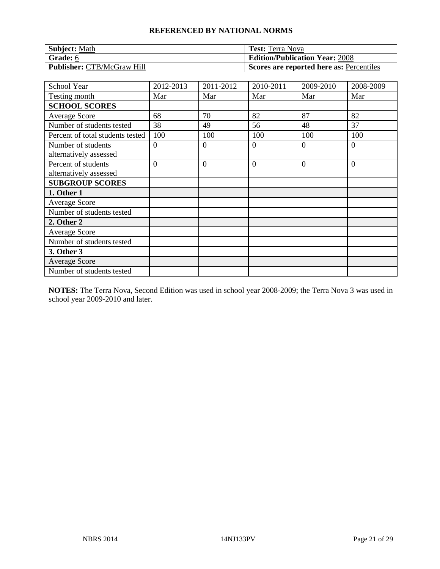| <b>Subject: Math</b>              | <b>Test:</b> Terra Nova                  |
|-----------------------------------|------------------------------------------|
| <b>Grade:</b> 6                   | <b>Edition/Publication Year: 2008</b>    |
| <b>Publisher: CTB/McGraw Hill</b> | Scores are reported here as: Percentiles |

| School Year                      | 2012-2013      | 2011-2012      | 2010-2011      | 2009-2010 | 2008-2009      |
|----------------------------------|----------------|----------------|----------------|-----------|----------------|
| Testing month                    | Mar            | Mar            | Mar            | Mar       | Mar            |
| <b>SCHOOL SCORES</b>             |                |                |                |           |                |
| <b>Average Score</b>             | 68             | 70             | 82             | 87        | 82             |
| Number of students tested        | 38             | 49             | 56             | 48        | 37             |
| Percent of total students tested | 100            | 100            | 100            | 100       | 100            |
| Number of students               | $\overline{0}$ | $\theta$       | $\theta$       | 0         | $\overline{0}$ |
| alternatively assessed           |                |                |                |           |                |
| Percent of students              | $\overline{0}$ | $\overline{0}$ | $\overline{0}$ | $\Omega$  | $\overline{0}$ |
| alternatively assessed           |                |                |                |           |                |
| <b>SUBGROUP SCORES</b>           |                |                |                |           |                |
| 1. Other 1                       |                |                |                |           |                |
| <b>Average Score</b>             |                |                |                |           |                |
| Number of students tested        |                |                |                |           |                |
| 2. Other 2                       |                |                |                |           |                |
| Average Score                    |                |                |                |           |                |
| Number of students tested        |                |                |                |           |                |
| 3. Other 3                       |                |                |                |           |                |
| <b>Average Score</b>             |                |                |                |           |                |
| Number of students tested        |                |                |                |           |                |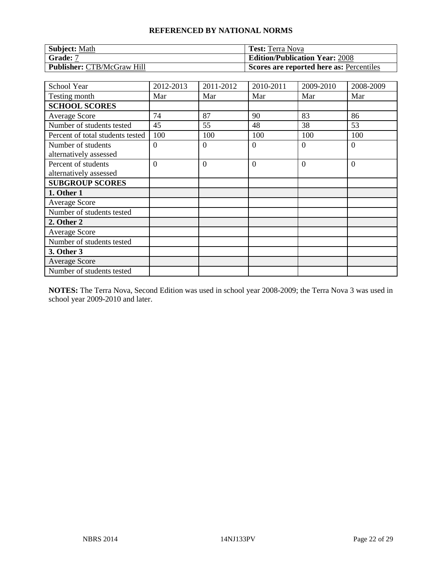| <b>Subject: Math</b>              | <b>Test:</b> Terra Nova                  |
|-----------------------------------|------------------------------------------|
| <b>Grade:</b> 7                   | <b>Edition/Publication Year: 2008</b>    |
| <b>Publisher: CTB/McGraw Hill</b> | Scores are reported here as: Percentiles |

| School Year                                   | 2012-2013      | 2011-2012      | 2010-2011      | 2009-2010 | 2008-2009 |
|-----------------------------------------------|----------------|----------------|----------------|-----------|-----------|
| Testing month                                 | Mar            | Mar            | Mar            | Mar       | Mar       |
| <b>SCHOOL SCORES</b>                          |                |                |                |           |           |
| <b>Average Score</b>                          | 74             | 87             | 90             | 83        | 86        |
| Number of students tested                     | 45             | 55             | 48             | 38        | 53        |
| Percent of total students tested              | 100            | 100            | 100            | 100       | 100       |
| Number of students<br>alternatively assessed  | $\Omega$       | $\Omega$       | $\overline{0}$ | $\Omega$  | $\Omega$  |
| Percent of students<br>alternatively assessed | $\overline{0}$ | $\overline{0}$ | $\overline{0}$ | $\Omega$  | $\theta$  |
| <b>SUBGROUP SCORES</b>                        |                |                |                |           |           |
| 1. Other 1                                    |                |                |                |           |           |
| <b>Average Score</b>                          |                |                |                |           |           |
| Number of students tested                     |                |                |                |           |           |
| 2. Other 2                                    |                |                |                |           |           |
| Average Score                                 |                |                |                |           |           |
| Number of students tested                     |                |                |                |           |           |
| 3. Other 3                                    |                |                |                |           |           |
| <b>Average Score</b>                          |                |                |                |           |           |
| Number of students tested                     |                |                |                |           |           |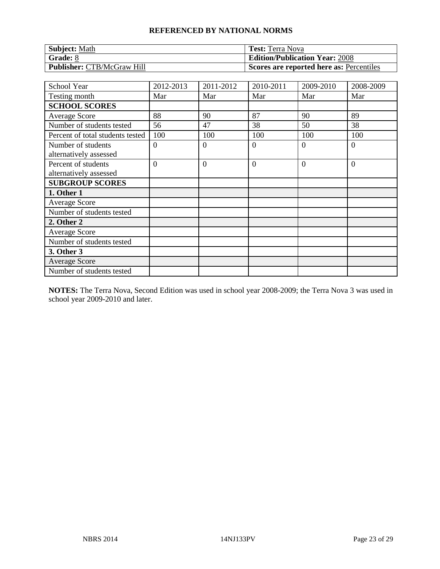| <b>Subject: Math</b>              | <b>Test:</b> Terra Nova                  |
|-----------------------------------|------------------------------------------|
| $\mathsf{Grade:}\ 8$              | <b>Edition/Publication Year: 2008</b>    |
| <b>Publisher: CTB/McGraw Hill</b> | Scores are reported here as: Percentiles |

| School Year                                   | 2012-2013      | 2011-2012      | 2010-2011      | 2009-2010 | 2008-2009      |
|-----------------------------------------------|----------------|----------------|----------------|-----------|----------------|
| Testing month                                 | Mar            | Mar            | Mar            | Mar       | Mar            |
| <b>SCHOOL SCORES</b>                          |                |                |                |           |                |
| <b>Average Score</b>                          | 88             | 90             | 87             | 90        | 89             |
| Number of students tested                     | 56             | 47             | 38             | 50        | 38             |
| Percent of total students tested              | 100            | 100            | 100            | 100       | 100            |
| Number of students<br>alternatively assessed  | $\theta$       | $\overline{0}$ | $\overline{0}$ | $\Omega$  | $\overline{0}$ |
| Percent of students<br>alternatively assessed | $\overline{0}$ | $\overline{0}$ | $\overline{0}$ | $\Omega$  | $\overline{0}$ |
| <b>SUBGROUP SCORES</b>                        |                |                |                |           |                |
| 1. Other 1                                    |                |                |                |           |                |
| <b>Average Score</b>                          |                |                |                |           |                |
| Number of students tested                     |                |                |                |           |                |
| 2. Other 2                                    |                |                |                |           |                |
| <b>Average Score</b>                          |                |                |                |           |                |
| Number of students tested                     |                |                |                |           |                |
| 3. Other 3                                    |                |                |                |           |                |
| <b>Average Score</b>                          |                |                |                |           |                |
| Number of students tested                     |                |                |                |           |                |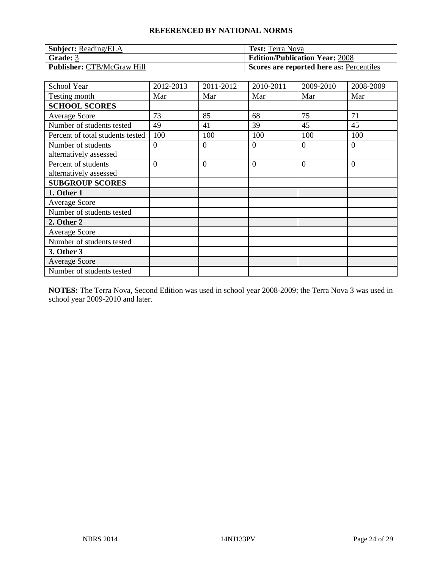| <b>Subject:</b> Reading/ELA       | <b>Test:</b> Terra Nova                  |
|-----------------------------------|------------------------------------------|
| Grade: 3                          | <b>Edition/Publication Year: 2008</b>    |
| <b>Publisher: CTB/McGraw Hill</b> | Scores are reported here as: Percentiles |

| School Year                                   | 2012-2013      | 2011-2012      | 2010-2011      | 2009-2010 | 2008-2009      |
|-----------------------------------------------|----------------|----------------|----------------|-----------|----------------|
| Testing month                                 | Mar            | Mar            | Mar            | Mar       | Mar            |
| <b>SCHOOL SCORES</b>                          |                |                |                |           |                |
| Average Score                                 | 73             | 85             | 68             | 75        | 71             |
| Number of students tested                     | 49             | 41             | 39             | 45        | 45             |
| Percent of total students tested              | 100            | 100            | 100            | 100       | 100            |
| Number of students<br>alternatively assessed  | $\Omega$       | $\Omega$       | $\overline{0}$ | 0         | $\Omega$       |
| Percent of students<br>alternatively assessed | $\overline{0}$ | $\overline{0}$ | $\overline{0}$ | $\Omega$  | $\overline{0}$ |
| <b>SUBGROUP SCORES</b>                        |                |                |                |           |                |
| 1. Other 1                                    |                |                |                |           |                |
| <b>Average Score</b>                          |                |                |                |           |                |
| Number of students tested                     |                |                |                |           |                |
| 2. Other 2                                    |                |                |                |           |                |
| Average Score                                 |                |                |                |           |                |
| Number of students tested                     |                |                |                |           |                |
| 3. Other 3                                    |                |                |                |           |                |
| <b>Average Score</b>                          |                |                |                |           |                |
| Number of students tested                     |                |                |                |           |                |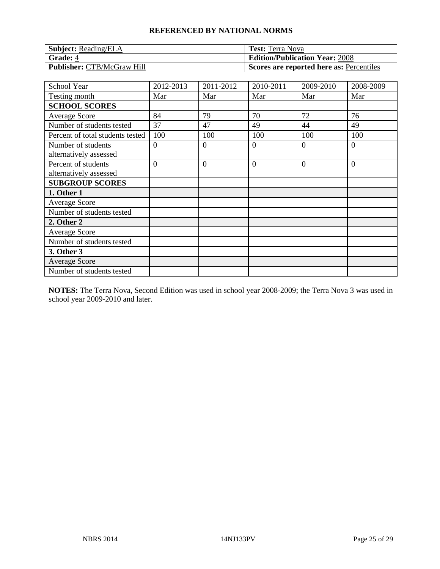| <b>Subject:</b> Reading/ELA       | <b>Test:</b> Terra Nova                  |
|-----------------------------------|------------------------------------------|
| <b>Grade: 4</b>                   | <b>Edition/Publication Year: 2008</b>    |
| <b>Publisher: CTB/McGraw Hill</b> | Scores are reported here as: Percentiles |

| School Year                                   | 2012-2013      | 2011-2012      | 2010-2011      | 2009-2010 | 2008-2009      |
|-----------------------------------------------|----------------|----------------|----------------|-----------|----------------|
| Testing month                                 | Mar            | Mar            | Mar            | Mar       | Mar            |
| <b>SCHOOL SCORES</b>                          |                |                |                |           |                |
| <b>Average Score</b>                          | 84             | 79             | 70             | 72        | 76             |
| Number of students tested                     | 37             | 47             | 49             | 44        | 49             |
| Percent of total students tested              | 100            | 100            | 100            | 100       | 100            |
| Number of students<br>alternatively assessed  | $\Omega$       | $\overline{0}$ | $\overline{0}$ | $\Omega$  | $\overline{0}$ |
| Percent of students<br>alternatively assessed | $\overline{0}$ | $\overline{0}$ | $\overline{0}$ | $\Omega$  | $\overline{0}$ |
| <b>SUBGROUP SCORES</b>                        |                |                |                |           |                |
| 1. Other 1                                    |                |                |                |           |                |
| <b>Average Score</b>                          |                |                |                |           |                |
| Number of students tested                     |                |                |                |           |                |
| 2. Other 2                                    |                |                |                |           |                |
| <b>Average Score</b>                          |                |                |                |           |                |
| Number of students tested                     |                |                |                |           |                |
| 3. Other 3                                    |                |                |                |           |                |
| <b>Average Score</b>                          |                |                |                |           |                |
| Number of students tested                     |                |                |                |           |                |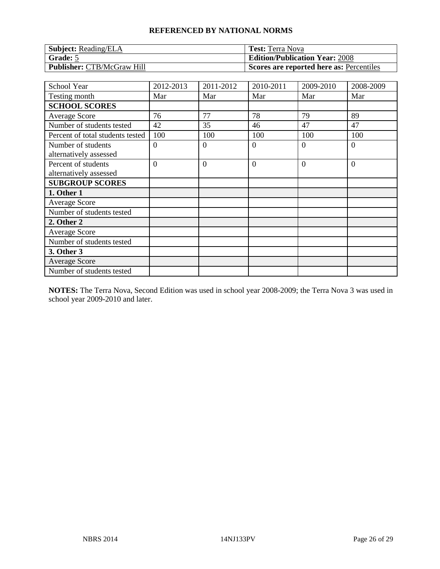| <b>Subject:</b> Reading/ELA       | <b>Test:</b> Terra Nova                  |
|-----------------------------------|------------------------------------------|
| $\mid$ Grade: 5                   | <b>Edition/Publication Year: 2008</b>    |
| <b>Publisher: CTB/McGraw Hill</b> | Scores are reported here as: Percentiles |

| School Year                                   | 2012-2013      | 2011-2012      | 2010-2011      | 2009-2010 | 2008-2009      |
|-----------------------------------------------|----------------|----------------|----------------|-----------|----------------|
| Testing month                                 | Mar            | Mar            | Mar            | Mar       | Mar            |
| <b>SCHOOL SCORES</b>                          |                |                |                |           |                |
| <b>Average Score</b>                          | 76             | 77             | 78             | 79        | 89             |
| Number of students tested                     | 42             | 35             | 46             | 47        | 47             |
| Percent of total students tested              | 100            | 100            | 100            | 100       | 100            |
| Number of students<br>alternatively assessed  | $\Omega$       | $\Omega$       | $\overline{0}$ | $\Omega$  | $\overline{0}$ |
| Percent of students<br>alternatively assessed | $\overline{0}$ | $\overline{0}$ | $\overline{0}$ | $\Omega$  | $\overline{0}$ |
| <b>SUBGROUP SCORES</b>                        |                |                |                |           |                |
| 1. Other 1                                    |                |                |                |           |                |
| <b>Average Score</b>                          |                |                |                |           |                |
| Number of students tested                     |                |                |                |           |                |
| 2. Other 2                                    |                |                |                |           |                |
| <b>Average Score</b>                          |                |                |                |           |                |
| Number of students tested                     |                |                |                |           |                |
| 3. Other 3                                    |                |                |                |           |                |
| <b>Average Score</b>                          |                |                |                |           |                |
| Number of students tested                     |                |                |                |           |                |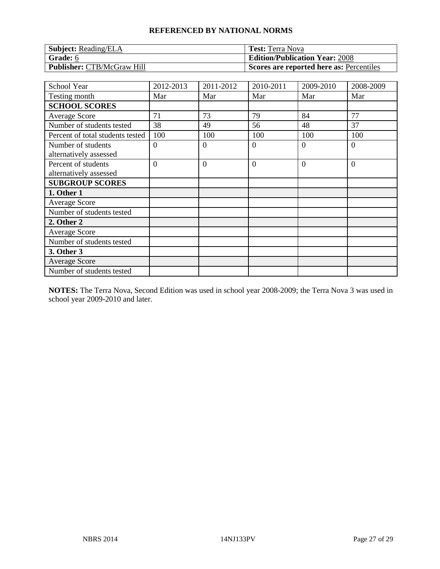| <b>Subject:</b> Reading/ELA       | <b>Test:</b> Terra Nova                  |
|-----------------------------------|------------------------------------------|
| Grade: 6                          | <b>Edition/Publication Year: 2008</b>    |
| <b>Publisher: CTB/McGraw Hill</b> | Scores are reported here as: Percentiles |

| School Year                                   | 2012-2013      | 2011-2012      | 2010-2011      | 2009-2010 | 2008-2009      |
|-----------------------------------------------|----------------|----------------|----------------|-----------|----------------|
| Testing month                                 | Mar            | Mar            | Mar            | Mar       | Mar            |
| <b>SCHOOL SCORES</b>                          |                |                |                |           |                |
| Average Score                                 | 71             | 73             | 79             | 84        | 77             |
| Number of students tested                     | 38             | 49             | 56             | 48        | 37             |
| Percent of total students tested              | 100            | 100            | 100            | 100       | 100            |
| Number of students<br>alternatively assessed  | $\Omega$       | $\Omega$       | $\theta$       | 0         | $\Omega$       |
| Percent of students<br>alternatively assessed | $\overline{0}$ | $\overline{0}$ | $\overline{0}$ | $\Omega$  | $\overline{0}$ |
| <b>SUBGROUP SCORES</b>                        |                |                |                |           |                |
| 1. Other 1                                    |                |                |                |           |                |
| <b>Average Score</b>                          |                |                |                |           |                |
| Number of students tested                     |                |                |                |           |                |
| 2. Other 2                                    |                |                |                |           |                |
| Average Score                                 |                |                |                |           |                |
| Number of students tested                     |                |                |                |           |                |
| 3. Other 3                                    |                |                |                |           |                |
| <b>Average Score</b>                          |                |                |                |           |                |
| Number of students tested                     |                |                |                |           |                |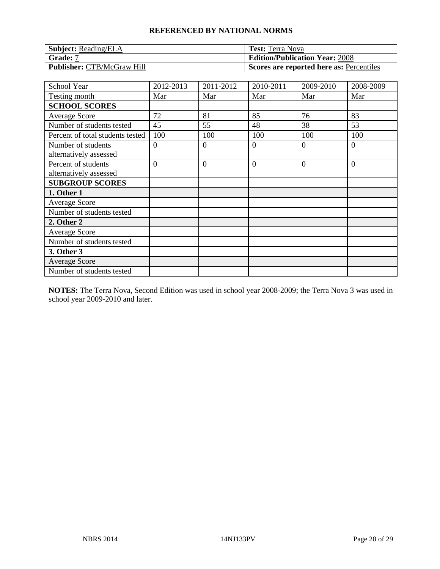| <b>Subject:</b> Reading/ELA       | <b>Test:</b> Terra Nova                  |
|-----------------------------------|------------------------------------------|
| Grade: 7                          | <b>Edition/Publication Year: 2008</b>    |
| <b>Publisher: CTB/McGraw Hill</b> | Scores are reported here as: Percentiles |

| School Year                                   | 2012-2013      | 2011-2012      | 2010-2011      | 2009-2010 | 2008-2009      |
|-----------------------------------------------|----------------|----------------|----------------|-----------|----------------|
| Testing month                                 | Mar            | Mar            | Mar            | Mar       | Mar            |
| <b>SCHOOL SCORES</b>                          |                |                |                |           |                |
| Average Score                                 | 72             | 81             | 85             | 76        | 83             |
| Number of students tested                     | 45             | 55             | 48             | 38        | 53             |
| Percent of total students tested              | 100            | 100            | 100            | 100       | 100            |
| Number of students<br>alternatively assessed  | $\Omega$       | $\Omega$       | $\overline{0}$ | 0         | $\Omega$       |
| Percent of students<br>alternatively assessed | $\overline{0}$ | $\overline{0}$ | $\overline{0}$ | $\Omega$  | $\overline{0}$ |
| <b>SUBGROUP SCORES</b>                        |                |                |                |           |                |
| 1. Other 1                                    |                |                |                |           |                |
| <b>Average Score</b>                          |                |                |                |           |                |
| Number of students tested                     |                |                |                |           |                |
| 2. Other 2                                    |                |                |                |           |                |
| Average Score                                 |                |                |                |           |                |
| Number of students tested                     |                |                |                |           |                |
| 3. Other 3                                    |                |                |                |           |                |
| <b>Average Score</b>                          |                |                |                |           |                |
| Number of students tested                     |                |                |                |           |                |